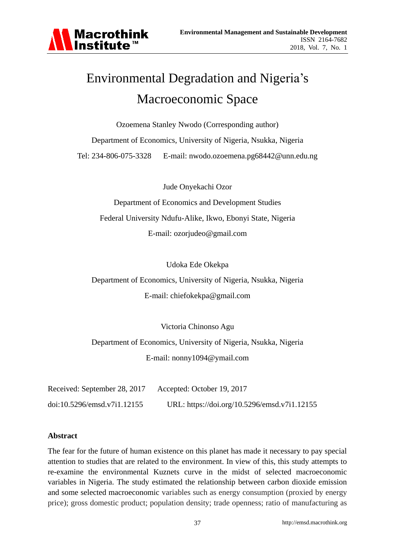

# Environmental Degradation and Nigeria's Macroeconomic Space

Ozoemena Stanley Nwodo (Corresponding author) Department of Economics, University of Nigeria, Nsukka, Nigeria Tel: 234-806-075-3328 E-mail: nwodo.ozoemena.pg68442@unn.edu.ng

Jude Onyekachi Ozor

Department of Economics and Development Studies Federal University Ndufu-Alike, Ikwo, Ebonyi State, Nigeria E-mail: ozorjudeo@gmail.com

Udoka Ede Okekpa

Department of Economics, University of Nigeria, Nsukka, Nigeria E-mail: chiefokekpa@gmail.com

Victoria Chinonso Agu

Department of Economics, University of Nigeria, Nsukka, Nigeria E-mail: nonny1094@ymail.com

| Received: September 28, 2017 | Accepted: October 19, 2017                   |
|------------------------------|----------------------------------------------|
| doi:10.5296/emsd.v7i1.12155  | URL: https://doi.org/10.5296/emsd.v7i1.12155 |

#### **Abstract**

The fear for the future of human existence on this planet has made it necessary to pay special attention to studies that are related to the environment. In view of this, this study attempts to re-examine the environmental Kuznets curve in the midst of selected macroeconomic variables in Nigeria. The study estimated the relationship between carbon dioxide emission and some selected macroeconomic variables such as energy consumption (proxied by energy price); gross domestic product; population density; trade openness; ratio of manufacturing as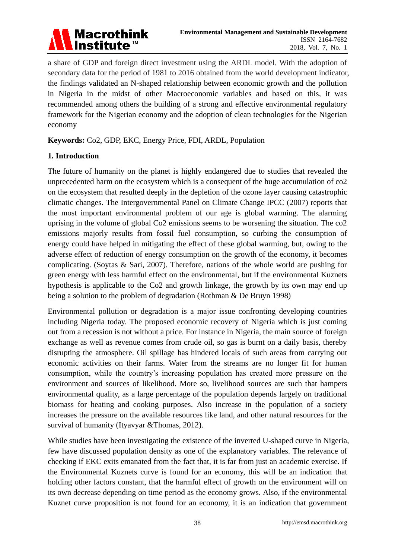

a share of GDP and foreign direct investment using the ARDL model. With the adoption of secondary data for the period of 1981 to 2016 obtained from the world development indicator, the findings validated an N-shaped relationship between economic growth and the pollution in Nigeria in the midst of other Macroeconomic variables and based on this, it was recommended among others the building of a strong and effective environmental regulatory framework for the Nigerian economy and the adoption of clean technologies for the Nigerian economy

**Keywords:** Co2, GDP, EKC, Energy Price, FDI, ARDL, Population

## **1. Introduction**

The future of humanity on the planet is highly endangered due to studies that revealed the unprecedented harm on the ecosystem which is a consequent of the huge accumulation of co2 on the ecosystem that resulted deeply in the depletion of the ozone layer causing catastrophic climatic changes. The Intergovernmental Panel on Climate Change IPCC (2007) reports that the most important environmental problem of our age is global warming. The alarming uprising in the volume of global Co2 emissions seems to be worsening the situation. The co2 emissions majorly results from fossil fuel consumption, so curbing the consumption of energy could have helped in mitigating the effect of these global warming, but, owing to the adverse effect of reduction of energy consumption on the growth of the economy, it becomes complicating. (Soytas & Sari, 2007). Therefore, nations of the whole world are pushing for green energy with less harmful effect on the environmental, but if the environmental Kuznets hypothesis is applicable to the Co2 and growth linkage, the growth by its own may end up being a solution to the problem of degradation (Rothman & De Bruyn 1998)

Environmental pollution or degradation is a major issue confronting developing countries including Nigeria today. The proposed economic recovery of Nigeria which is just coming out from a recession is not without a price. For instance in Nigeria, the main source of foreign exchange as well as revenue comes from crude oil, so gas is burnt on a daily basis, thereby disrupting the atmosphere. Oil spillage has hindered locals of such areas from carrying out economic activities on their farms. Water from the streams are no longer fit for human consumption, while the country's increasing population has created more pressure on the environment and sources of likelihood. More so, livelihood sources are such that hampers environmental quality, as a large percentage of the population depends largely on traditional biomass for heating and cooking purposes. Also increase in the population of a society increases the pressure on the available resources like land, and other natural resources for the survival of humanity (Ityavyar &Thomas, 2012).

While studies have been investigating the existence of the inverted U-shaped curve in Nigeria, few have discussed population density as one of the explanatory variables. The relevance of checking if EKC exits emanated from the fact that, it is far from just an academic exercise. If the Environmental Kuznets curve is found for an economy, this will be an indication that holding other factors constant, that the harmful effect of growth on the environment will on its own decrease depending on time period as the economy grows. Also, if the environmental Kuznet curve proposition is not found for an economy, it is an indication that government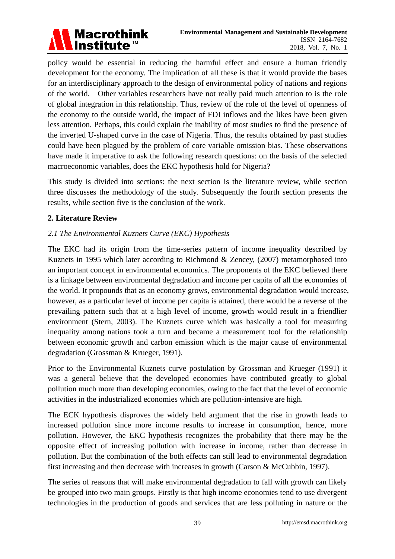

policy would be essential in reducing the harmful effect and ensure a human friendly development for the economy. The implication of all these is that it would provide the bases for an interdisciplinary approach to the design of environmental policy of nations and regions of the world. Other variables researchers have not really paid much attention to is the role of global integration in this relationship. Thus, review of the role of the level of openness of the economy to the outside world, the impact of FDI inflows and the likes have been given less attention. Perhaps, this could explain the inability of most studies to find the presence of the inverted U-shaped curve in the case of Nigeria. Thus, the results obtained by past studies could have been plagued by the problem of core variable omission bias. These observations have made it imperative to ask the following research questions: on the basis of the selected macroeconomic variables, does the EKC hypothesis hold for Nigeria?

This study is divided into sections: the next section is the literature review, while section three discusses the methodology of the study. Subsequently the fourth section presents the results, while section five is the conclusion of the work.

## **2. Literature Review**

## *2.1 The Environmental Kuznets Curve (EKC) Hypothesis*

The EKC had its origin from the time-series pattern of income inequality described by Kuznets in 1995 which later according to Richmond & Zencey, (2007) metamorphosed into an important concept in environmental economics. The proponents of the EKC believed there is a linkage between environmental degradation and income per capita of all the economies of the world. It propounds that as an economy grows, environmental degradation would increase, however, as a particular level of income per capita is attained, there would be a reverse of the prevailing pattern such that at a high level of income, growth would result in a friendlier environment (Stern, 2003). The Kuznets curve which was basically a tool for measuring inequality among nations took a turn and became a measurement tool for the relationship between economic growth and carbon emission which is the major cause of environmental degradation (Grossman & Krueger, 1991).

Prior to the Environmental Kuznets curve postulation by Grossman and Krueger (1991) it was a general believe that the developed economies have contributed greatly to global pollution much more than developing economies, owing to the fact that the level of economic activities in the industrialized economies which are pollution-intensive are high.

The ECK hypothesis disproves the widely held argument that the rise in growth leads to increased pollution since more income results to increase in consumption, hence, more pollution. However, the EKC hypothesis recognizes the probability that there may be the opposite effect of increasing pollution with increase in income, rather than decrease in pollution. But the combination of the both effects can still lead to environmental degradation first increasing and then decrease with increases in growth (Carson & McCubbin, 1997).

The series of reasons that will make environmental degradation to fall with growth can likely be grouped into two main groups. Firstly is that high income economies tend to use divergent technologies in the production of goods and services that are less polluting in nature or the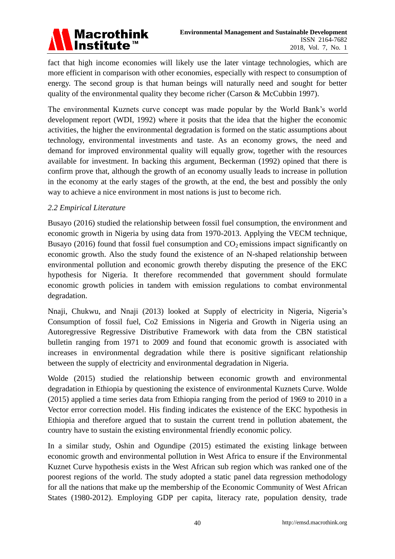

fact that high income economies will likely use the later vintage technologies, which are more efficient in comparison with other economies, especially with respect to consumption of energy. The second group is that human beings will naturally need and sought for better quality of the environmental quality they become richer (Carson & McCubbin 1997).

The environmental Kuznets curve concept was made popular by the World Bank's world development report (WDI, 1992) where it posits that the idea that the higher the economic activities, the higher the environmental degradation is formed on the static assumptions about technology, environmental investments and taste. As an economy grows, the need and demand for improved environmental quality will equally grow, together with the resources available for investment. In backing this argument, Beckerman (1992) opined that there is confirm prove that, although the growth of an economy usually leads to increase in pollution in the economy at the early stages of the growth, at the end, the best and possibly the only way to achieve a nice environment in most nations is just to become rich.

### *2.2 Empirical Literature*

Busayo (2016) studied the relationship between fossil fuel consumption, the environment and economic growth in Nigeria by using data from 1970-2013. Applying the VECM technique, Busayo (2016) found that fossil fuel consumption and  $CO<sub>2</sub>$  emissions impact significantly on economic growth. Also the study found the existence of an N-shaped relationship between environmental pollution and economic growth thereby disputing the presence of the EKC hypothesis for Nigeria. It therefore recommended that government should formulate economic growth policies in tandem with emission regulations to combat environmental degradation.

Nnaji, Chukwu, and Nnaji (2013) looked at Supply of electricity in Nigeria, Nigeria's Consumption of fossil fuel, Co2 Emissions in Nigeria and Growth in Nigeria using an Autoregressive Regressive Distributive Framework with data from the CBN statistical bulletin ranging from 1971 to 2009 and found that economic growth is associated with increases in environmental degradation while there is positive significant relationship between the supply of electricity and environmental degradation in Nigeria.

Wolde (2015) studied the relationship between economic growth and environmental degradation in Ethiopia by questioning the existence of environmental Kuznets Curve. Wolde (2015) applied a time series data from Ethiopia ranging from the period of 1969 to 2010 in a Vector error correction model. His finding indicates the existence of the EKC hypothesis in Ethiopia and therefore argued that to sustain the current trend in pollution abatement, the country have to sustain the existing environmental friendly economic policy.

In a similar study, Oshin and Ogundipe (2015) estimated the existing linkage between economic growth and environmental pollution in West Africa to ensure if the Environmental Kuznet Curve hypothesis exists in the West African sub region which was ranked one of the poorest regions of the world. The study adopted a static panel data regression methodology for all the nations that make up the membership of the Economic Community of West African States (1980-2012). Employing GDP per capita, literacy rate, population density, trade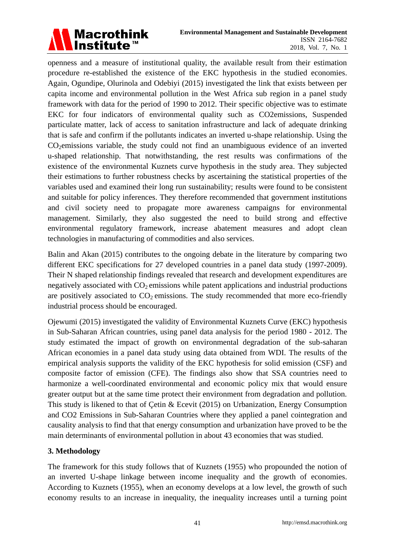

openness and a measure of institutional quality, the available result from their estimation procedure re-established the existence of the EKC hypothesis in the studied economies. Again, Ogundipe, Olurinola and Odebiyi (2015) investigated the link that exists between per capita income and environmental pollution in the West Africa sub region in a panel study framework with data for the period of 1990 to 2012. Their specific objective was to estimate EKC for four indicators of environmental quality such as CO2emissions, Suspended particulate matter, lack of access to sanitation infrastructure and lack of adequate drinking that is safe and confirm if the pollutants indicates an inverted u-shape relationship. Using the CO<sub>2</sub>emissions variable, the study could not find an unambiguous evidence of an inverted u-shaped relationship. That notwithstanding, the rest results was confirmations of the existence of the environmental Kuznets curve hypothesis in the study area. They subjected their estimations to further robustness checks by ascertaining the statistical properties of the variables used and examined their long run sustainability; results were found to be consistent and suitable for policy inferences. They therefore recommended that government institutions and civil society need to propagate more awareness campaigns for environmental management. Similarly, they also suggested the need to build strong and effective environmental regulatory framework, increase abatement measures and adopt clean technologies in manufacturing of commodities and also services.

Balin and Akan (2015) contributes to the ongoing debate in the literature by comparing two different EKC specifications for 27 developed countries in a panel data study (1997-2009). Their N shaped relationship findings revealed that research and development expenditures are negatively associated with  $CO<sub>2</sub>$  emissions while patent applications and industrial productions are positively associated to  $CO<sub>2</sub>$  emissions. The study recommended that more eco-friendly industrial process should be encouraged.

Ojewumi (2015) investigated the validity of Environmental Kuznets Curve (EKC) hypothesis in Sub-Saharan African countries, using panel data analysis for the period 1980 - 2012. The study estimated the impact of growth on environmental degradation of the sub-saharan African economies in a panel data study using data obtained from WDI. The results of the empirical analysis supports the validity of the EKC hypothesis for solid emission (CSF) and composite factor of emission (CFE). The findings also show that SSA countries need to harmonize a well-coordinated environmental and economic policy mix that would ensure greater output but at the same time protect their environment from degradation and pollution. This study is likened to that of Çetin & Ecevit (2015) on Urbanization, Energy Consumption and CO2 Emissions in Sub-Saharan Countries where they applied a panel cointegration and causality analysis to find that that energy consumption and urbanization have proved to be the main determinants of environmental pollution in about 43 economies that was studied.

## **3. Methodology**

The framework for this study follows that of Kuznets (1955) who propounded the notion of an inverted U-shape linkage between income inequality and the growth of economies. According to Kuznets (1955), when an economy develops at a low level, the growth of such economy results to an increase in inequality, the inequality increases until a turning point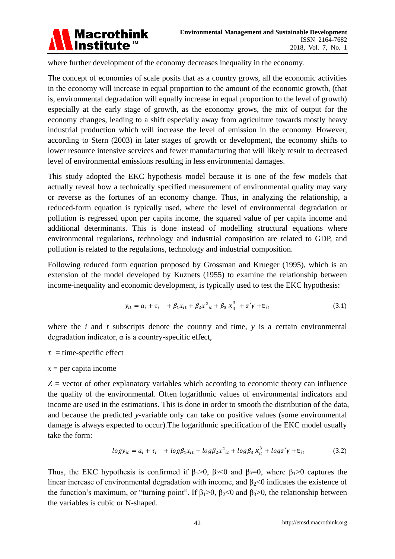

where further development of the economy decreases inequality in the economy.

The concept of economies of scale posits that as a country grows, all the economic activities in the economy will increase in equal proportion to the amount of the economic growth, (that is, environmental degradation will equally increase in equal proportion to the level of growth) especially at the early stage of growth, as the economy grows, the mix of output for the economy changes, leading to a shift especially away from agriculture towards mostly heavy industrial production which will increase the level of emission in the economy. However, according to Stern (2003) in later stages of growth or development, the economy shifts to lower resource intensive services and fewer manufacturing that will likely result to decreased level of environmental emissions resulting in less environmental damages.

This study adopted the EKC hypothesis model because it is one of the few models that actually reveal how a technically specified measurement of environmental quality may vary or reverse as the fortunes of an economy change. Thus, in analyzing the relationship, a reduced-form equation is typically used, where the level of environmental degradation or pollution is regressed upon per capita income, the squared value of per capita income and additional determinants. This is done instead of modelling structural equations where environmental regulations, technology and industrial composition are related to GDP, and pollution is related to the regulations, technology and industrial composition.

Following reduced form equation proposed by Grossman and Krueger (1995), which is an extension of the model developed by Kuznets (1955) to examine the relationship between income-inequality and economic development, is typically used to test the EKC hypothesis:

$$
y_{it} = a_i + \tau_i + \beta_1 x_{it} + \beta_2 x^2_{it} + \beta_3 x_{it}^3 + z'\gamma + \epsilon_{it}
$$
 (3.1)

where the  $i$  and  $t$  subscripts denote the country and time,  $y$  is a certain environmental degradation indicator,  $\alpha$  is a country-specific effect,

 $\tau$  = time-specific effect

## $x =$  per capita income

*Z =* vector of other explanatory variables which according to economic theory can influence the quality of the environmental. Often logarithmic values of environmental indicators and income are used in the estimations. This is done in order to smooth the distribution of the data, and because the predicted *y*-variable only can take on positive values (some environmental damage is always expected to occur).The logarithmic specification of the EKC model usually take the form:

$$
logy_{it} = a_i + \tau_i + log\beta_1 x_{it} + log\beta_2 x^2_{it} + log\beta_3 x_{it}^3 + logz'\gamma + \epsilon_{it}
$$
\n(3.2)

Thus, the EKC hypothesis is confirmed if  $\beta_1>0$ ,  $\beta_2<0$  and  $\beta_3=0$ , where  $\beta_1>0$  captures the linear increase of environmental degradation with income, and  $\beta_2$ <0 indicates the existence of the function's maximum, or "turning point". If  $\beta_1$ >0,  $\beta_2$ <0 and  $\beta_3$ >0, the relationship between the variables is cubic or N-shaped.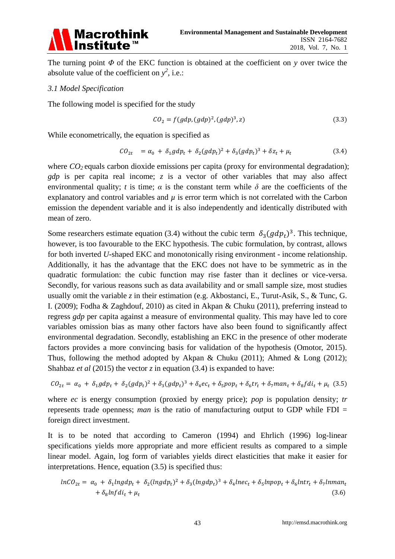

The turning point *Φ* of the EKC function is obtained at the coefficient on *y* over twice the absolute value of the coefficient on  $y^2$ , i.e.:

#### *3.1 Model Specification*

The following model is specified for the study

$$
CO2 = f(gdp, (gdp)2, (gdp)3, z)
$$
\n(3.3)

While econometrically, the equation is specified as

$$
CO_{2t} = \alpha_0 + \delta_1 g dp_t + \delta_2 (g dp_t)^2 + \delta_3 (g dp_t)^3 + \delta z_t + \mu_t
$$
\n(3.4)

where  $CO<sub>2</sub>$  equals carbon dioxide emissions per capita (proxy for environmental degradation); *gdp* is per capita real income; *z* is a vector of other variables that may also affect environmental quality; *t* is time;  $\alpha$  is the constant term while  $\delta$  are the coefficients of the explanatory and control variables and  $\mu$  is error term which is not correlated with the Carbon emission the dependent variable and it is also independently and identically distributed with mean of zero.

Some researchers estimate equation (3.4) without the cubic term  $\delta_3 (gdp_t)^3$ . This technique, however, is too favourable to the EKC hypothesis. The cubic formulation, by contrast, allows for both inverted *U-*shaped EKC and monotonically rising environment - income relationship. Additionally, it has the advantage that the EKC does not have to be symmetric as in the quadratic formulation: the cubic function may rise faster than it declines or vice-versa. Secondly, for various reasons such as data availability and or small sample size, most studies usually omit the variable *z* in their estimation (e.g. Akbostanci, E., Turut-Asik, S., & Tunc, G. I. (2009); Fodha & Zaghdouf, 2010) as cited in Akpan & Chuku (2011), preferring instead to regress *gdp* per capita against a measure of environmental quality. This may have led to core variables omission bias as many other factors have also been found to significantly affect environmental degradation. Secondly, establishing an EKC in the presence of other moderate factors provides a more convincing basis for validation of the hypothesis (Omotor, 2015). Thus, following the method adopted by Akpan & Chuku (2011); Ahmed & Long (2012); Shahbaz *et al* (2015) the vector *z* in equation (3.4) is expanded to have:

$$
CO_{2t} = \alpha_0 + \delta_1 g dp_t + \delta_2 (g dp_t)^2 + \delta_3 (g dp_t)^3 + \delta_4 e c_t + \delta_5 p \cdot \delta_t + \delta_6 tr_t + \delta_7 \cdot \delta_t
$$

where *ec* is energy consumption (proxied by energy price); *pop* is population density; *tr*  represents trade openness; *man* is the ratio of manufacturing output to GDP while FDI = foreign direct investment.

It is to be noted that according to Cameron (1994) and Ehrlich (1996) log-linear specifications yields more appropriate and more efficient results as compared to a simple linear model. Again, log form of variables yields direct elasticities that make it easier for interpretations. Hence, equation (3.5) is specified thus:

$$
ln CO_{2t} = \alpha_0 + \delta_1 ln g dp_t + \delta_2 (ln g dp_t)^2 + \delta_3 (ln g dp_t)^3 + \delta_4 ln e_c_t + \delta_5 ln pop_t + \delta_6 ln tr_t + \delta_7 ln man_t + \delta_8 ln f d i_t + \mu_t
$$
\n(3.6)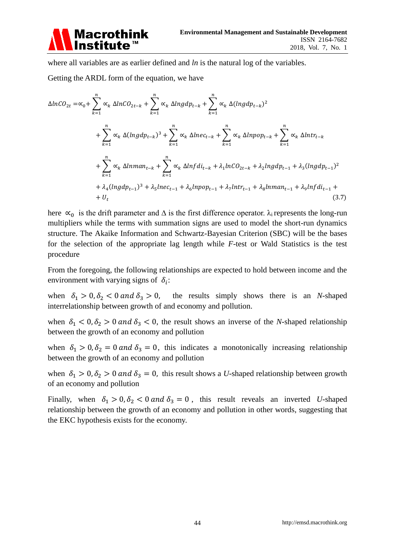

where all variables are as earlier defined and *ln* is the natural log of the variables.

Getting the ARDL form of the equation, we have

$$
\Delta ln C O_{2t} = \infty_{0} + \sum_{k=1}^{n} \alpha_{k} \Delta ln C O_{2t-k} + \sum_{k=1}^{n} \alpha_{k} \Delta ln g d p_{t-k} + \sum_{k=1}^{n} \alpha_{k} \Delta (ln g d p_{t-k})^{2}
$$
  
+ 
$$
\sum_{k=1}^{n} \alpha_{k} \Delta (ln g d p_{t-k})^{3} + \sum_{k=1}^{n} \alpha_{k} \Delta ln e c_{t-k} + \sum_{k=1}^{n} \alpha_{k} \Delta ln p o p_{t-k} + \sum_{k=1}^{n} \alpha_{k} \Delta ln tr_{t-k}
$$
  
+ 
$$
\sum_{k=1}^{n} \alpha_{k} \Delta ln man_{t-k} + \sum_{k=1}^{n} \alpha_{k} \Delta ln f d i_{t-k} + \lambda_{1} ln C O_{2t-k} + \lambda_{2} ln g d p_{t-1} + \lambda_{3} (ln g d p_{t-1})^{2}
$$
  
+ 
$$
\lambda_{4} (ln g d p_{t-1})^{3} + \lambda_{5} ln e c_{t-1} + \lambda_{6} ln p o p_{t-1} + \lambda_{7} ln tr_{t-1} + \lambda_{8} ln man_{t-1} + \lambda_{9} ln f d i_{t-1} +
$$
  
+ 
$$
U_{t}
$$
(3.7)

here  $\alpha_0$  is the drift parameter and  $\Delta$  is the first difference operator.  $\lambda_i$  represents the long-run multipliers while the terms with summation signs are used to model the short-run dynamics structure. The Akaike Information and Schwartz-Bayesian Criterion (SBC) will be the bases for the selection of the appropriate lag length while *F*-test or Wald Statistics is the test procedure

From the foregoing, the following relationships are expected to hold between income and the environment with varying signs of  $\delta_i$ :

when  $\delta_1 > 0$ ,  $\delta_2 < 0$  and  $\delta_3 > 0$ , the results simply shows there is an *N*-shaped interrelationship between growth of and economy and pollution.

when  $\delta_1 < 0$ ,  $\delta_2 > 0$  and  $\delta_3 < 0$ , the result shows an inverse of the *N*-shaped relationship between the growth of an economy and pollution

when  $\delta_1 > 0$ ,  $\delta_2 = 0$  and  $\delta_3 = 0$ , this indicates a monotonically increasing relationship between the growth of an economy and pollution

when  $\delta_1 > 0$ ,  $\delta_2 > 0$  and  $\delta_3 = 0$ , this result shows a *U*-shaped relationship between growth of an economy and pollution

Finally, when  $\delta_1 > 0$ ,  $\delta_2 < 0$  and  $\delta_3 = 0$ , this result reveals an inverted *U*-shaped relationship between the growth of an economy and pollution in other words, suggesting that the EKC hypothesis exists for the economy.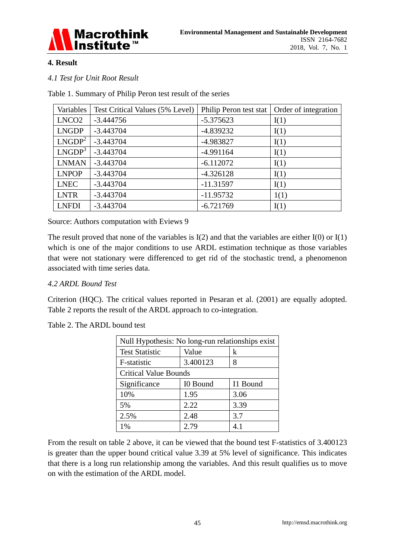

## **4. Result**

*4.1 Test for Unit Root Result*

Table 1. Summary of Philip Peron test result of the series

| Variables          | Test Critical Values (5% Level) | Philip Peron test stat | Order of integration |
|--------------------|---------------------------------|------------------------|----------------------|
| LNCO <sub>2</sub>  | $-3.444756$                     | $-5.375623$            | I(1)                 |
| <b>LNGDP</b>       | $-3.443704$                     | $-4.839232$            | I(1)                 |
| LNGDP <sup>2</sup> | $-3.443704$                     | -4.983827              | I(1)                 |
| LNGDP <sup>3</sup> | $-3.443704$                     | $-4.991164$            | I(1)                 |
| <b>LNMAN</b>       | $-3.443704$                     | $-6.112072$            | I(1)                 |
| <b>LNPOP</b>       | $-3.443704$                     | $-4.326128$            | I(1)                 |
| <b>LNEC</b>        | $-3.443704$                     | $-11.31597$            | I(1)                 |
| <b>LNTR</b>        | $-3.443704$                     | $-11.95732$            | 1(1)                 |
| <b>LNFDI</b>       | $-3.443704$                     | $-6.721769$            | I(1)                 |

Source: Authors computation with Eviews 9

The result proved that none of the variables is  $I(2)$  and that the variables are either  $I(0)$  or  $I(1)$ which is one of the major conditions to use ARDL estimation technique as those variables that were not stationary were differenced to get rid of the stochastic trend, a phenomenon associated with time series data.

## *4.2 ARDL Bound Test*

Criterion (HQC). The critical values reported in Pesaran et al. (2001) are equally adopted. Table 2 reports the result of the ARDL approach to co-integration.

| Null Hypothesis: No long-run relationships exist |          |          |  |
|--------------------------------------------------|----------|----------|--|
| <b>Test Statistic</b>                            | Value    | k        |  |
| F-statistic                                      | 3.400123 | 8        |  |
| <b>Critical Value Bounds</b>                     |          |          |  |
| Significance                                     | I0 Bound | I1 Bound |  |
| 10%                                              | 1.95     | 3.06     |  |
| 5%                                               | 2.22     | 3.39     |  |
| 2.5%                                             | 2.48     | 3.7      |  |
| 1%                                               | 2.79     | 4.1      |  |

Table 2. The ARDL bound test

From the result on table 2 above, it can be viewed that the bound test F-statistics of 3.400123 is greater than the upper bound critical value 3.39 at 5% level of significance. This indicates that there is a long run relationship among the variables. And this result qualifies us to move on with the estimation of the ARDL model.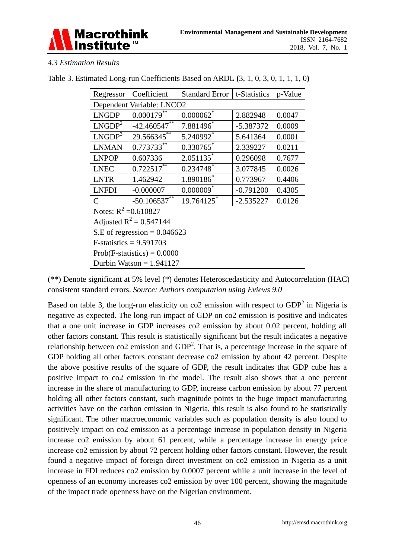

## *4.3 Estimation Results*

| Regressor                      | Coefficient                  | <b>Standard Error</b>   | t-Statistics | p-Value |  |  |
|--------------------------------|------------------------------|-------------------------|--------------|---------|--|--|
| Dependent Variable: LNCO2      |                              |                         |              |         |  |  |
| <b>LNGDP</b>                   | $0.000179$ **                | $0.000062$ *            | 2.882948     | 0.0047  |  |  |
| LNGDP <sup>2</sup>             | $-42.460547$ **              | 7.881496                | $-5.387372$  | 0.0009  |  |  |
| LNGDP <sup>3</sup>             | 29.566345**                  | 5.240992*               | 5.641364     | 0.0001  |  |  |
| <b>LNMAN</b>                   | $0.773733^{*}{\overline{*}}$ | $0.330765$ *            | 2.339227     | 0.0211  |  |  |
| <b>LNPOP</b>                   | 0.607336                     | $2.051135$ *            | 0.296098     | 0.7677  |  |  |
| <b>LNEC</b>                    | $0.722517***$                | 0.234748*               | 3.077845     | 0.0026  |  |  |
| <b>LNTR</b>                    | 1.462942                     | 1.890186*               | 0.773967     | 0.4406  |  |  |
| <b>LNFDI</b>                   | $-0.000007$                  | $0.000009$ <sup>*</sup> | $-0.791200$  | 0.4305  |  |  |
| $\mathcal{C}$                  | $-50.106537$                 | 19.764125*              | $-2.535227$  | 0.0126  |  |  |
|                                | Notes: $R^2 = 0.610827$      |                         |              |         |  |  |
|                                | Adjusted $R^2 = 0.547144$    |                         |              |         |  |  |
| S.E of regression = $0.046623$ |                              |                         |              |         |  |  |
| $F-statistics = 9.591703$      |                              |                         |              |         |  |  |
| $Prob(F-statistics) = 0.0000$  |                              |                         |              |         |  |  |
| Durbin Watson = $1.941127$     |                              |                         |              |         |  |  |

## Table 3. Estimated Long-run Coefficients Based on ARDL **(**3, 1, 0, 3, 0, 1, 1, 1, 0**)**

(\*\*) Denote significant at 5% level (\*) denotes Heteroscedasticity and Autocorrelation (HAC) consistent standard errors. *Source: Authors computation using Eviews 9.0*

Based on table 3, the long-run elasticity on  $\cot 2$  emission with respect to  $GDP<sup>2</sup>$  in Nigeria is negative as expected. The long-run impact of GDP on co2 emission is positive and indicates that a one unit increase in GDP increases co2 emission by about 0.02 percent, holding all other factors constant. This result is statistically significant but the result indicates a negative relationship between  $\cot 2$  emission and  $GDP<sup>2</sup>$ . That is, a percentage increase in the square of GDP holding all other factors constant decrease co2 emission by about 42 percent. Despite the above positive results of the square of GDP, the result indicates that GDP cube has a positive impact to co2 emission in the model. The result also shows that a one percent increase in the share of manufacturing to GDP, increase carbon emission by about 77 percent holding all other factors constant, such magnitude points to the huge impact manufacturing activities have on the carbon emission in Nigeria, this result is also found to be statistically significant. The other macroeconomic variables such as population density is also found to positively impact on co2 emission as a percentage increase in population density in Nigeria increase co2 emission by about 61 percent, while a percentage increase in energy price increase co2 emission by about 72 percent holding other factors constant. However, the result found a negative impact of foreign direct investment on co2 emission in Nigeria as a unit increase in FDI reduces co2 emission by 0.0007 percent while a unit increase in the level of openness of an economy increases co2 emission by over 100 percent, showing the magnitude of the impact trade openness have on the Nigerian environment.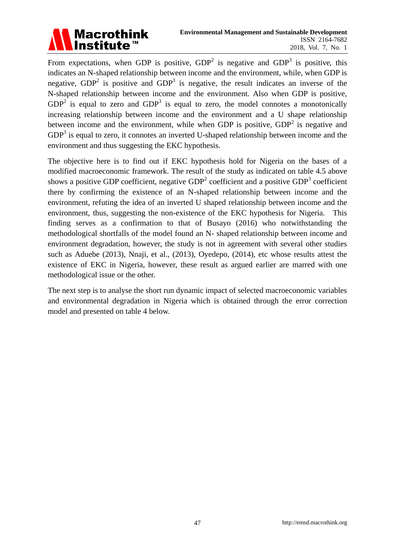

From expectations, when GDP is positive,  $GDP<sup>2</sup>$  is negative and  $GDP<sup>3</sup>$  is positive, this indicates an N-shaped relationship between income and the environment, while, when GDP is negative,  $GDP<sup>2</sup>$  is positive and  $GDP<sup>3</sup>$  is negative, the result indicates an inverse of the N-shaped relationship between income and the environment. Also when GDP is positive,  $GDP<sup>2</sup>$  is equal to zero and  $GDP<sup>3</sup>$  is equal to zero, the model connotes a monotonically increasing relationship between income and the environment and a U shape relationship between income and the environment, while when GDP is positive,  $GDP<sup>2</sup>$  is negative and  $GDP<sup>3</sup>$  is equal to zero, it connotes an inverted U-shaped relationship between income and the environment and thus suggesting the EKC hypothesis.

The objective here is to find out if EKC hypothesis hold for Nigeria on the bases of a modified macroeconomic framework. The result of the study as indicated on table 4.5 above shows a positive GDP coefficient, negative  $GDP<sup>2</sup>$  coefficient and a positive  $GDP<sup>3</sup>$  coefficient there by confirming the existence of an N-shaped relationship between income and the environment, refuting the idea of an inverted U shaped relationship between income and the environment, thus, suggesting the non-existence of the EKC hypothesis for Nigeria. This finding serves as a confirmation to that of Busayo (2016) who notwithstanding the methodological shortfalls of the model found an N- shaped relationship between income and environment degradation, however, the study is not in agreement with several other studies such as Aduebe (2013), Nnaji, et al., (2013), Oyedepo, (2014), etc whose results attest the existence of EKC in Nigeria, however, these result as argued earlier are marred with one methodological issue or the other.

The next step is to analyse the short run dynamic impact of selected macroeconomic variables and environmental degradation in Nigeria which is obtained through the error correction model and presented on table 4 below.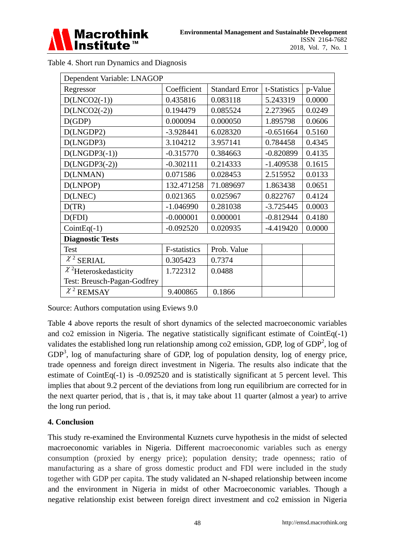

| Dependent Variable: LNAGOP  |              |                       |              |         |
|-----------------------------|--------------|-----------------------|--------------|---------|
| Regressor                   | Coefficient  | <b>Standard Error</b> | t-Statistics | p-Value |
| $D(LNCO2(-1))$              | 0.435816     | 0.083118              | 5.243319     | 0.0000  |
| $D(LNCO2(-2))$              | 0.194479     | 0.085524              | 2.273965     | 0.0249  |
| D(GDP)                      | 0.000094     | 0.000050              | 1.895798     | 0.0606  |
| D(LNGDP2)                   | $-3.928441$  | 6.028320              | $-0.651664$  | 0.5160  |
| D(LNGDP3)                   | 3.104212     | 3.957141              | 0.784458     | 0.4345  |
| $D(LNGDP3(-1))$             | $-0.315770$  | 0.384663              | $-0.820899$  | 0.4135  |
| $D(LNGDP3(-2))$             | $-0.302111$  | 0.214333              | $-1.409538$  | 0.1615  |
| D(LNMAN)                    | 0.071586     | 0.028453              | 2.515952     | 0.0133  |
| D(LNPOP)                    | 132.471258   | 71.089697             | 1.863438     | 0.0651  |
| D(LNEC)                     | 0.021365     | 0.025967              | 0.822767     | 0.4124  |
| D(TR)                       | $-1.046990$  | 0.281038              | $-3.725445$  | 0.0003  |
| D(FDI)                      | $-0.000001$  | 0.000001              | $-0.812944$  | 0.4180  |
| $CointEq(-1)$               | $-0.092520$  | 0.020935              | $-4.419420$  | 0.0000  |
| <b>Diagnostic Tests</b>     |              |                       |              |         |
| <b>Test</b>                 | F-statistics | Prob. Value           |              |         |
| $\chi^2$ SERIAL             | 0.305423     | 0.7374                |              |         |
| $\chi^2$ Heteroskedasticity | 1.722312     | 0.0488                |              |         |
| Test: Breusch-Pagan-Godfrey |              |                       |              |         |
| $\chi^2$ REMSAY             | 9.400865     | 0.1866                |              |         |

| Table 4. Short run Dynamics and Diagnosis |  |  |  |
|-------------------------------------------|--|--|--|
|                                           |  |  |  |

Source: Authors computation using Eviews 9.0

Table 4 above reports the result of short dynamics of the selected macroeconomic variables and co2 emission in Nigeria. The negative statistically significant estimate of CointEq(-1) validates the established long run relationship among co2 emission, GDP, log of GDP<sup>2</sup>, log of  $GDP<sup>3</sup>$ , log of manufacturing share of GDP, log of population density, log of energy price, trade openness and foreign direct investment in Nigeria. The results also indicate that the estimate of CointEq(-1) is -0.092520 and is statistically significant at 5 percent level. This implies that about 9.2 percent of the deviations from long run equilibrium are corrected for in the next quarter period, that is , that is, it may take about 11 quarter (almost a year) to arrive the long run period.

## **4. Conclusion**

This study re-examined the Environmental Kuznets curve hypothesis in the midst of selected macroeconomic variables in Nigeria. Different macroeconomic variables such as energy consumption (proxied by energy price); population density; trade openness; ratio of manufacturing as a share of gross domestic product and FDI were included in the study together with GDP per capita. The study validated an N-shaped relationship between income and the environment in Nigeria in midst of other Macroeconomic variables. Though a negative relationship exist between foreign direct investment and co2 emission in Nigeria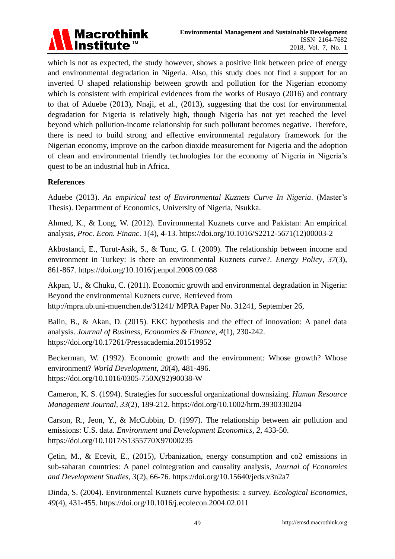

which is not as expected, the study however, shows a positive link between price of energy and environmental degradation in Nigeria. Also, this study does not find a support for an inverted U shaped relationship between growth and pollution for the Nigerian economy which is consistent with empirical evidences from the works of Busayo (2016) and contrary to that of Aduebe (2013), Nnaji, et al., (2013), suggesting that the cost for environmental degradation for Nigeria is relatively high, though Nigeria has not yet reached the level beyond which pollution-income relationship for such pollutant becomes negative. Therefore, there is need to build strong and effective environmental regulatory framework for the Nigerian economy, improve on the carbon dioxide measurement for Nigeria and the adoption of clean and environmental friendly technologies for the economy of Nigeria in Nigeria's quest to be an industrial hub in Africa.

## **References**

Aduebe (2013). *An empirical test of Environmental Kuznets Curve In Nigeria*. (Master's Thesis). Department of Economics, University of Nigeria, Nsukka.

Ahmed, K., & Long, W. (2012). Environmental Kuznets curve and Pakistan: An empirical analysis, *Proc. Econ. Financ*. *1*(4), 4-13. https://doi.org/10.1016/S2212-5671(12)00003-2

Akbostanci, E., Turut-Asik, S., & Tunc, G. I. (2009). The relationship between income and environment in Turkey: Is there an environmental Kuznets curve?. *Energy Policy*, *37*(3), 861-867. https://doi.org/10.1016/j.enpol.2008.09.088

Akpan, U., & Chuku, C. (2011). Economic growth and environmental degradation in Nigeria: Beyond the environmental Kuznets curve, Retrieved from http://mpra.ub.uni-muenchen.de/31241/ MPRA Paper No. 31241, September 26,

Balin, B., & Akan, D. (2015). EKC hypothesis and the effect of innovation: A panel data analysis. *Journal of Business, Economics & Finance*, *4*(1), 230-242. https://doi.org/10.17261/Pressacademia.201519952

Beckerman, W. (1992). Economic growth and the environment: Whose growth? Whose environment? *World Development*, *20*(4), 481-496. https://doi.org/10.1016/0305-750X(92)90038-W

Cameron, K. S. (1994). Strategies for successful organizational downsizing. *Human Resource Management Journal, 33*(2), 189-212. https://doi.org/10.1002/hrm.3930330204

Carson, R., Jeon, Y., & McCubbin, D. (1997). The relationship between air pollution and emissions: U.S. data. *Environment and Development Economics, 2*, 433-50. https://doi.org/10.1017/S1355770X97000235

Çetin, M., & Ecevit, E., (2015), Urbanization, energy consumption and co2 emissions in sub-saharan countries: A panel cointegration and causality analysis, *Journal of Economics and Development Studies, 3*(2), 66-76. https://doi.org/10.15640/jeds.v3n2a7

Dinda, S. (2004). Environmental Kuznets curve hypothesis: a survey. *Ecological Economics, 49*(4), 431-455. https://doi.org/10.1016/j.ecolecon.2004.02.011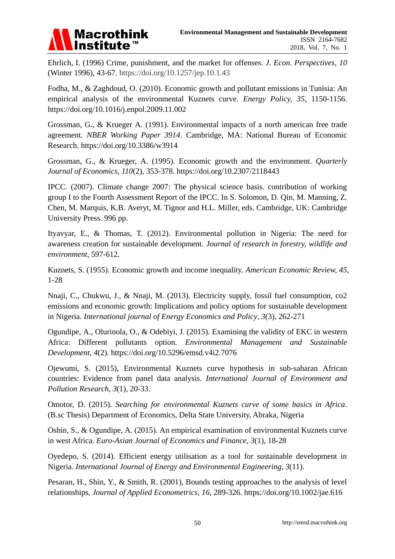

Ehrlich, I. (1996) Crime, punishment, and the market for offenses. *J. Econ. Perspectives, 10* (Winter 1996), 43-67. https://doi.org/10.1257/jep.10.1.43

Fodha, M., & Zaghdoud, O. (2010). Economic growth and pollutant emissions in Tunisia: An empirical analysis of the environmental Kuznets curve. *Energy Policy, 35*, 1150-1156. https://doi.org/10.1016/j.enpol.2009.11.002

Grossman, G., & Krueger A. (1991). Environmental impacts of a north american free trade agreement*. NBER Working Paper 3914*. Cambridge, MA: National Bureau of Economic Research. https://doi.org/10.3386/w3914

Grossman, G., & Krueger, A. (1995). Economic growth and the environment. *Quarterly Journal of Economics, 110*(2), 353-378. https://doi.org/10.2307/2118443

IPCC. (2007). Climate change 2007: The physical science basis. contribution of working group I to the Fourth Assessment Report of the IPCC. In S. Solomon, D. Qin, M. Manning, Z. Chen, M. Marquis, K.B. Averyt, M. Tignor and H.L. Miller, eds. Cambridge, UK: Cambridge University Press. 996 pp.

Ityavyar, E., & Thomas, T. (2012). Environmental pollution in Nigeria: The need for awareness creation for sustainable development. *Journal of research in forestry, wildlife and environment*, 597-612.

Kuznets, S. (1955). Economic growth and income inequality. *American Economic Review, 45*, 1-28

Nnaji, C., Chukwu, J., & Nnaji, M. (2013). Electricity supply, fossil fuel consumption, co2 emissions and economic growth: Implications and policy options for sustainable development in Nigeria. *International journal of Energy Economics and Policy*, *3*(3), 262-271

Ogundipe, A., Olurinola, O., & Odebiyi, J. (2015). Examining the validity of EKC in western Africa: Different pollutants option. *Environmental Management and Sustainable Development, 4*(2). https://doi.org/10.5296/emsd.v4i2.7076

Ojewumi, S. (2015), Environmental Kuznets curve hypothesis in sub-saharan African countries: Evidence from panel data analysis. *International Journal of Environment and Pollution Research*, *3*(1), 20-33.

Omotor, D. (2015). *Searching for environmental Kuznets curve of some basics in Africa*. (B.sc Thesis) Department of Economics, Delta State University, Abraka, Nigeria

Oshin, S., & Ogundipe, A. (2015). An empirical examination of environmental Kuznets curve in west Africa. *Euro-Asian Journal of Economics and Finance*, *3*(1), 18-28

Oyedepo, S. (2014). Efficient energy utilisation as a tool for sustainable development in Nigeria. *International Journal of Energy and Environmental Engineering, 3*(11).

Pesaran, H., Shin, Y., & Smith, R. (2001), Bounds testing approaches to the analysis of level relationships, *Journal of Applied Econometrics*, *16*, 289-326. https://doi.org/10.1002/jae.616